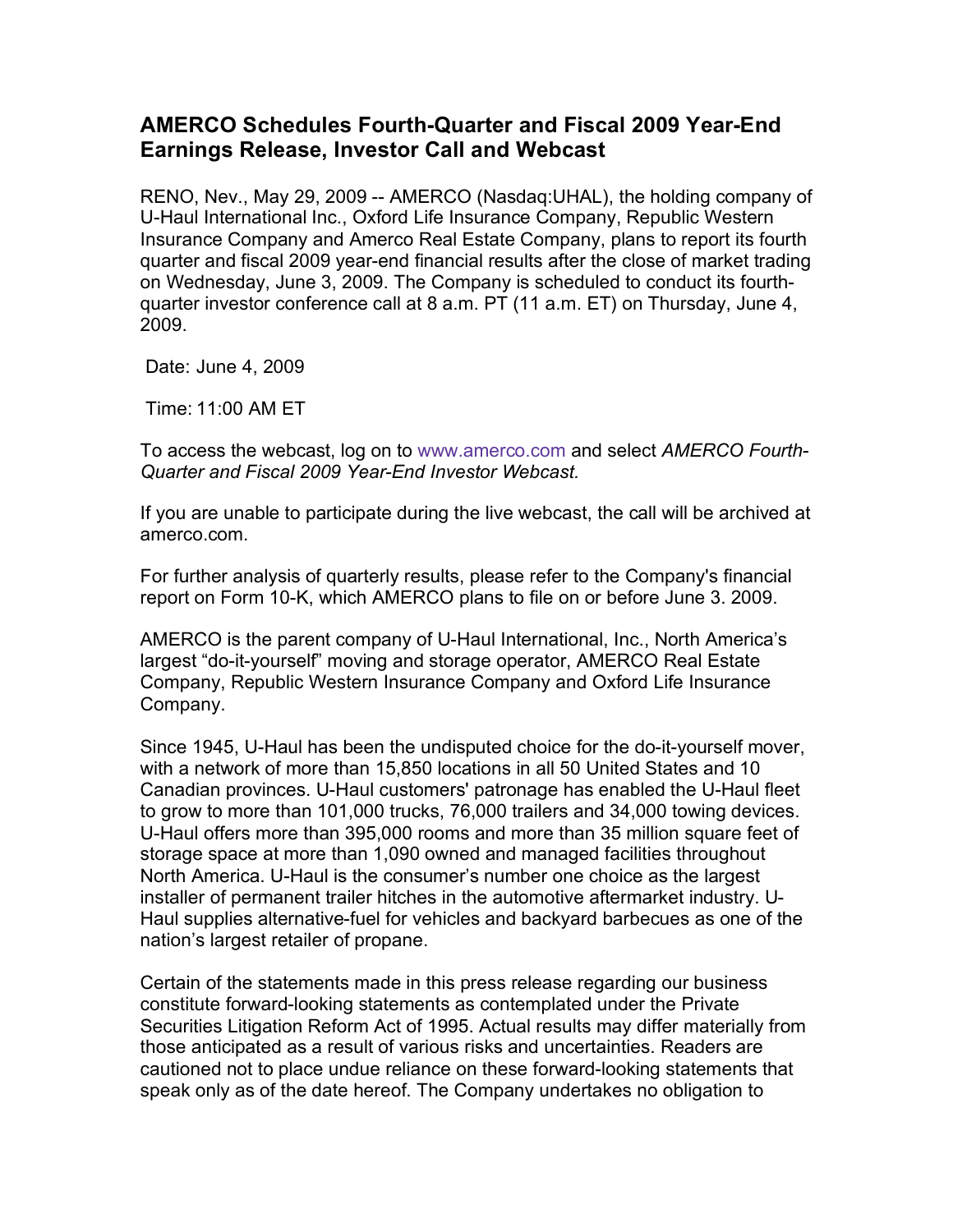## **AMERCO Schedules Fourth-Quarter and Fiscal 2009 Year-End Earnings Release, Investor Call and Webcast**

RENO, Nev., May 29, 2009 -- AMERCO (Nasdaq:UHAL), the holding company of U-Haul International Inc., Oxford Life Insurance Company, Republic Western Insurance Company and Amerco Real Estate Company, plans to report its fourth quarter and fiscal 2009 year-end financial results after the close of market trading on Wednesday, June 3, 2009. The Company is scheduled to conduct its fourthquarter investor conference call at 8 a.m. PT (11 a.m. ET) on Thursday, June 4, 2009.

Date: June 4, 2009

Time: 11:00 AM ET

To access the webcast, log on to www.amerco.com and select *AMERCO Fourth-Quarter and Fiscal 2009 Year-End Investor Webcast.*

If you are unable to participate during the live webcast, the call will be archived at amerco.com.

For further analysis of quarterly results, please refer to the Company's financial report on Form 10-K, which AMERCO plans to file on or before June 3. 2009.

AMERCO is the parent company of U-Haul International, Inc., North America's largest "do-it-yourself" moving and storage operator, AMERCO Real Estate Company, Republic Western Insurance Company and Oxford Life Insurance Company.

Since 1945, U-Haul has been the undisputed choice for the do-it-yourself mover, with a network of more than 15,850 locations in all 50 United States and 10 Canadian provinces. U-Haul customers' patronage has enabled the U-Haul fleet to grow to more than 101,000 trucks, 76,000 trailers and 34,000 towing devices. U-Haul offers more than 395,000 rooms and more than 35 million square feet of storage space at more than 1,090 owned and managed facilities throughout North America. U-Haul is the consumer's number one choice as the largest installer of permanent trailer hitches in the automotive aftermarket industry. U-Haul supplies alternative-fuel for vehicles and backyard barbecues as one of the nation's largest retailer of propane.

Certain of the statements made in this press release regarding our business constitute forward-looking statements as contemplated under the Private Securities Litigation Reform Act of 1995. Actual results may differ materially from those anticipated as a result of various risks and uncertainties. Readers are cautioned not to place undue reliance on these forward-looking statements that speak only as of the date hereof. The Company undertakes no obligation to